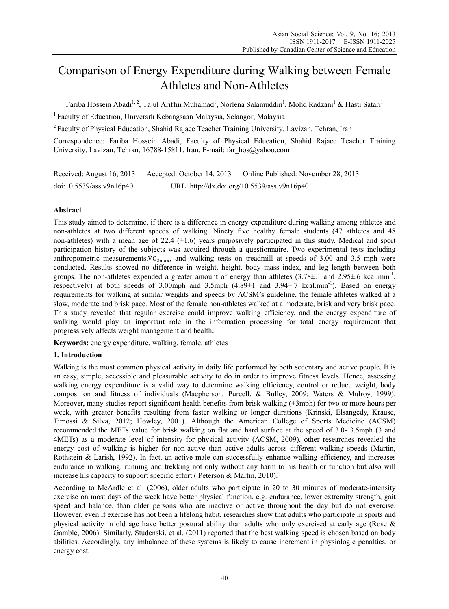# Comparison of Energy Expenditure during Walking between Female Athletes and Non-Athletes

Fariba Hossein Abadi<sup>1, 2</sup>, Tajul Ariffin Muhamad<sup>1</sup>, Norlena Salamuddin<sup>1</sup>, Mohd Radzani<sup>1</sup> & Hasti Satari<sup>1</sup>

<sup>1</sup> Faculty of Education, Universiti Kebangsaan Malaysia, Selangor, Malaysia

<sup>2</sup> Faculty of Physical Education, Shahid Rajaee Teacher Training University, Lavizan, Tehran, Iran

Correspondence: Fariba Hossein Abadi, Faculty of Physical Education, Shahid Rajaee Teacher Training University, Lavizan, Tehran, 16788-15811, Iran. E-mail: far\_hos@yahoo.com

| Received: August 16, 2013 | Accepted: October 14, 2013 | Online Published: November 28, 2013         |
|---------------------------|----------------------------|---------------------------------------------|
| doi:10.5539/ass.v9n16p40  |                            | URL: http://dx.doi.org/10.5539/ass.v9n16p40 |

# **Abstract**

This study aimed to determine, if there is a difference in energy expenditure during walking among athletes and non-athletes at two different speeds of walking. Ninety five healthy female students (47 athletes and 48 non-athletes) with a mean age of 22.4  $(\pm 1.6)$  years purposively participated in this study. Medical and sport participation history of the subjects was acquired through a questionnaire. Two experimental tests including anthropometric measurements,  $\rm{VO}_{2max}$ , and walking tests on treadmill at speeds of 3.00 and 3.5 mph were conducted. Results showed no difference in weight, height, body mass index, and leg length between both groups. The non-athletes expended a greater amount of energy than athletes  $(3.78\pm 1$  and  $2.95\pm 6$  kcal.min<sup>-1</sup>, respectively) at both speeds of 3.00mph and 3.5mph  $(4.89\pm1)$  and  $3.94\pm7$  kcal.min<sup>-1</sup>). Based on energy requirements for walking at similar weights and speeds by ACSM's guideline, the female athletes walked at a slow, moderate and brisk pace. Most of the female non-athletes walked at a moderate, brisk and very brisk pace. This study revealed that regular exercise could improve walking efficiency, and the energy expenditure of walking would play an important role in the information processing for total energy requirement that progressively affects weight management and health**.** 

**Keywords:** energy expenditure, walking, female, athletes

## **1. Introduction**

Walking is the most common physical activity in daily life performed by both sedentary and active people. It is an easy, simple, accessible and pleasurable activity to do in order to improve fitness levels. Hence, assessing walking energy expenditure is a valid way to determine walking efficiency, control or reduce weight, body composition and fitness of individuals (Macpherson, Purcell, & Bulley, 2009; Waters & Mulroy, 1999). Moreover, many studies report significant health benefits from brisk walking (+3mph) for two or more hours per week, with greater benefits resulting from faster walking or longer durations (Krinski, Elsangedy, Krause, Timossi & Silva, 2012; Howley, 2001). Although the American College of Sports Medicine (ACSM) recommended the METs value for brisk walking on flat and hard surface at the speed of 3.0- 3.5mph (3 and 4METs) as a moderate level of intensity for physical activity (ACSM, 2009), other researches revealed the energy cost of walking is higher for non-active than active adults across different walking speeds (Martin, Rothstein & Larish, 1992). In fact, an active male can successfully enhance walking efficiency, and increases endurance in walking, running and trekking not only without any harm to his health or function but also will increase his capacity to support specific effort ( Peterson & Martin, 2010).

According to McArdle et al. (2006), older adults who participate in 20 to 30 minutes of moderate-intensity exercise on most days of the week have better physical function, e.g. endurance, lower extremity strength, gait speed and balance, than older persons who are inactive or active throughout the day but do not exercise. However, even if exercise has not been a lifelong habit, researches show that adults who participate in sports and physical activity in old age have better postural ability than adults who only exercised at early age (Rose & Gamble, 2006). Similarly, Studenski, et al. (2011) reported that the best walking speed is chosen based on body abilities. Accordingly, any imbalance of these systems is likely to cause increment in physiologic penalties, or energy cost.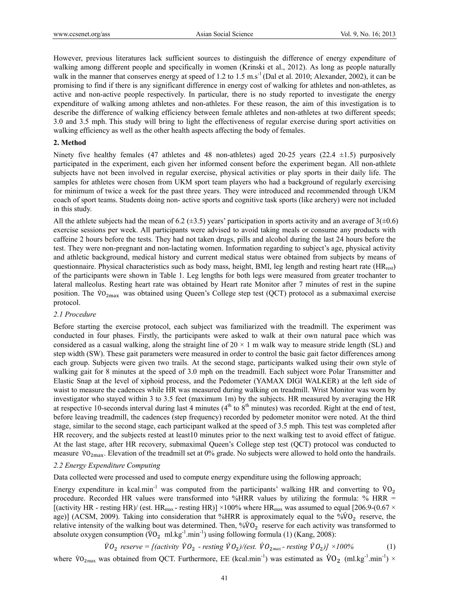However, previous literatures lack sufficient sources to distinguish the difference of energy expenditure of walking among different people and specifically in women (Krinski et al., 2012). As long as people naturally walk in the manner that conserves energy at speed of 1.2 to 1.5 m.s<sup>-1</sup> (Dal et al. 2010; Alexander, 2002), it can be promising to find if there is any significant difference in energy cost of walking for athletes and non-athletes, as active and non-active people respectively. In particular, there is no study reported to investigate the energy expenditure of walking among athletes and non-athletes. For these reason, the aim of this investigation is to describe the difference of walking efficiency between female athletes and non-athletes at two different speeds; 3.0 and 3.5 mph. This study will bring to light the effectiveness of regular exercise during sport activities on walking efficiency as well as the other health aspects affecting the body of females.

#### **2. Method**

Ninety five healthy females (47 athletes and 48 non-athletes) aged 20-25 years (22.4  $\pm$ 1.5) purposively participated in the experiment, each given her informed consent before the experiment began. All non-athlete subjects have not been involved in regular exercise, physical activities or play sports in their daily life. The samples for athletes were chosen from UKM sport team players who had a background of regularly exercising for minimum of twice a week for the past three years. They were introduced and recommended through UKM coach of sport teams. Students doing non- active sports and cognitive task sports (like archery) were not included in this study.

All the athlete subjects had the mean of 6.2 ( $\pm$ 3.5) years' participation in sports activity and an average of 3( $\pm$ 0.6) exercise sessions per week. All participants were advised to avoid taking meals or consume any products with caffeine 2 hours before the tests. They had not taken drugs, pills and alcohol during the last 24 hours before the test. They were non-pregnant and non-lactating women. Information regarding to subject's age, physical activity and athletic background, medical history and current medical status were obtained from subjects by means of questionnaire. Physical characteristics such as body mass, height, BMI, leg length and resting heart rate  $(HR_{rest})$ of the participants were shown in Table 1. Leg lengths for both legs were measured from greater trochanter to lateral malleolus. Resting heart rate was obtained by Heart rate Monitor after 7 minutes of rest in the supine position. The VO<sub>2max</sub> was obtained using Queen's College step test (QCT) protocol as a submaximal exercise protocol.

#### *2.1 Procedure*

Before starting the exercise protocol, each subject was familiarized with the treadmill. The experiment was conducted in four phases. Firstly, the participants were asked to walk at their own natural pace which was considered as a casual walking, along the straight line of  $20 \times 1$  m walk way to measure stride length (SL) and step width (SW). These gait parameters were measured in order to control the basic gait factor differences among each group. Subjects were given two trails. At the second stage, participants walked using their own style of walking gait for 8 minutes at the speed of 3.0 mph on the treadmill. Each subject wore Polar Transmitter and Elastic Snap at the level of xiphoid process, and the Pedometer (YAMAX DIGI WALKER) at the left side of waist to measure the cadences while HR was measured during walking on treadmill. Wrist Monitor was worn by investigator who stayed within 3 to 3.5 feet (maximum 1m) by the subjects. HR measured by averaging the HR at respective 10-seconds interval during last 4 minutes ( $4<sup>th</sup>$  to  $8<sup>th</sup>$  minutes) was recorded. Right at the end of test, before leaving treadmill, the cadences (step frequency) recorded by pedometer monitor were noted. At the third stage, similar to the second stage, each participant walked at the speed of 3.5 mph. This test was completed after HR recovery, and the subjects rested at least10 minutes prior to the next walking test to avoid effect of fatigue. At the last stage, after HR recovery, submaximal Queen's College step test (QCT) protocol was conducted to measure VO<sub>2max</sub>. Elevation of the treadmill set at 0% grade. No subjects were allowed to hold onto the handrails.

#### *2.2 Energy Expenditure Computing*

Data collected were processed and used to compute energy expenditure using the following approach;

Energy expenditure in kcal.min<sup>-1</sup> was computed from the participants' walking HR and converting to  $\dot{V}O_2$ procedure. Recorded HR values were transformed into %HRR values by utilizing the formula: % HRR = [(activity HR - resting HR)/ (est. HR<sub>max</sub> - resting HR)] ×100% where HR<sub>max</sub> was assumed to equal [206.9-(0.67 × age)] (ACSM, 2009). Taking into consideration that %HRR is approximately equal to the  $\sqrt[6]{v_0}$  reserve, the relative intensity of the walking bout was determined. Then,  $\sqrt[6]{60}$  reserve for each activity was transformed to absolute oxygen consumption  $\rm (VO_2\ ml.kg^{-1}.min^{-1})$  using following formula (1) (Kang, 2008):

 $\dot{V}O_2$  reserve = [(activity  $\dot{V}O_2$  - resting  $\dot{V}O_2$ )/(est.  $\dot{V}O_{2\text{max}}$ - resting  $\dot{V}O_2$ )] ×100% (1)

where  $\rm{VO}_{2\text{max}}$  was obtained from QCT. Furthermore, EE (kcal.min<sup>-1</sup>) was estimated as  $\rm{VO}_2$  (ml.kg<sup>-1</sup>.min<sup>-1</sup>)  $\times$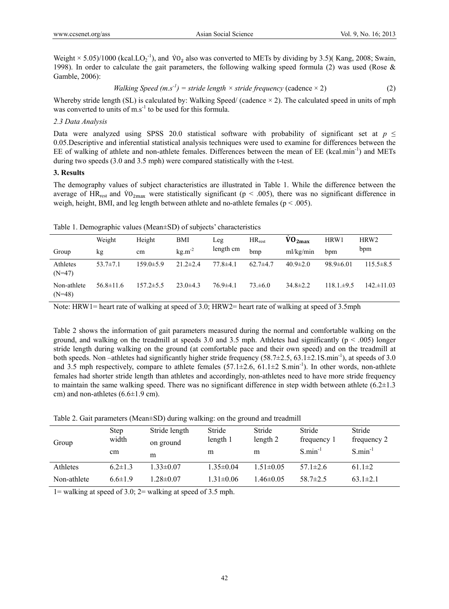Weight  $\times$  5.05)/1000 (kcal.LO<sub>2</sub><sup>-1</sup>), and V<sub>O<sub>2</sub></sub> also was converted to METs by dividing by 3.5)(Kang, 2008; Swain, 1998). In order to calculate the gait parameters, the following walking speed formula (2) was used (Rose  $\&$ Gamble, 2006):

*Walking Speed (m.s<sup>-1</sup>)* = *stride length* × *stride frequency* (cadence × 2) 
$$
(2)
$$

Whereby stride length (SL) is calculated by: Walking Speed/ (cadence  $\times$  2). The calculated speed in units of mph was converted to units of  $m.s^{-1}$  to be used for this formula.

## *2.3 Data Analysis*

Data were analyzed using SPSS 20.0 statistical software with probability of significant set at  $p \leq$ 0.05.Descriptive and inferential statistical analysis techniques were used to examine for differences between the EE of walking of athlete and non-athlete females. Differences between the mean of EE (kcal.min<sup>-1</sup>) and METs during two speeds (3.0 and 3.5 mph) were compared statistically with the t-test.

# **3. Results**

The demography values of subject characteristics are illustrated in Table 1. While the difference between the average of HR<sub>rest</sub> and  $\rm{VO}_{2max}$  were statistically significant ( $p < .005$ ), there was no significant difference in weigh, height, BMI, and leg length between athlete and no-athlete females ( $p < .005$ ).

|                         | Weight          | Height          | BMI            | Leg.           | $HR_{rest}$    | $\dot{V}O_{2\text{max}}$ | HRW1            | HRW2            |
|-------------------------|-----------------|-----------------|----------------|----------------|----------------|--------------------------|-----------------|-----------------|
| Group                   | kg              | cm              | $kg.m^{-2}$    | length cm      | bmp            | ml/kg/min                | bpm             | bpm             |
| Athletes<br>$(N=47)$    | $53.7 \pm 7.1$  | $159.0 \pm 5.9$ | $21.2 \pm 2.4$ | $77.8 \pm 4.1$ | $62.7 \pm 4.7$ | $40.9 \pm 2.0$           | $98.9 \pm 6.01$ | $115.5\pm8.5$   |
| Non-athlete<br>$(N=48)$ | $56.8 \pm 11.6$ | $157.2 \pm 5.5$ | $23.0\pm4.3$   | $76.9 \pm 4.1$ | $73 \pm 6.0$   | $34.8 \pm 2.2$           | $118.1 \pm 9.5$ | $142 \pm 11.03$ |

Table 1. Demographic values (Mean±SD) of subjects' characteristics

Note: HRW1= heart rate of walking at speed of 3.0; HRW2= heart rate of walking at speed of 3.5mph

Table 2 shows the information of gait parameters measured during the normal and comfortable walking on the ground, and walking on the treadmill at speeds 3.0 and 3.5 mph. Athletes had significantly ( $p < .005$ ) longer stride length during walking on the ground (at comfortable pace and their own speed) and on the treadmill at both speeds. Non –athletes had significantly higher stride frequency  $(58.7\pm 2.5, 63.1\pm 2.1S \cdot \text{min}^{-1})$ , at speeds of 3.0 and 3.5 mph respectively, compare to athlete females  $(57.1\pm2.6, 61.1\pm2, S.$  min<sup>-1</sup>). In other words, non-athlete females had shorter stride length than athletes and accordingly, non-athletes need to have more stride frequency to maintain the same walking speed. There was no significant difference in step width between athlete (6.2±1.3 cm) and non-athletes (6.6±1.9 cm).

Table 2. Gait parameters (Mean±SD) during walking: on the ground and treadmill

| Group       | Step<br>width<br>cm | Stride length<br>on ground<br>m | Stride<br>length 1<br>m | Stride<br>length 2<br>m | Stride<br>frequency 1<br>$S.min^{-1}$ | Stride<br>frequency 2<br>$S.min-1$ |
|-------------|---------------------|---------------------------------|-------------------------|-------------------------|---------------------------------------|------------------------------------|
| Athletes    | $6.2 \pm 1.3$       | $1.33 \pm 0.07$                 | $1.35 \pm 0.04$         | $1.51 \pm 0.05$         | $57.1 \pm 2.6$                        | $61.1 \pm 2$                       |
| Non-athlete | $6.6 \pm 1.9$       | $28 \pm 0.07$                   | $1.31 \pm 0.06$         | $1.46 \pm 0.05$         | $58.7 \pm 2.5$                        | $63.1 \pm 2.1$                     |

1= walking at speed of 3.0;  $2=$  walking at speed of 3.5 mph.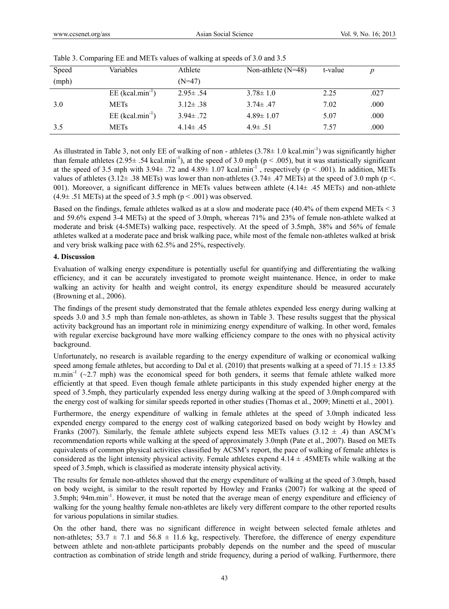| Speed | Variables                      | Athlete        | Non-athlete $(N=48)$ | t-value |      |
|-------|--------------------------------|----------------|----------------------|---------|------|
| (mph) |                                | $(N=47)$       |                      |         |      |
|       | $EE$ (kcal.min <sup>-1</sup> ) | $2.95 \pm .54$ | $3.78 \pm 1.0$       | 2.25    | .027 |
| 3.0   | <b>METs</b>                    | $3.12 \pm .38$ | $3.74 \pm .47$       | 7.02    | .000 |
|       | $EE$ (kcal.min <sup>-1</sup> ) | $3.94 \pm .72$ | $4.89 \pm 1.07$      | 5.07    | .000 |
| 3.5   | <b>METs</b>                    | $4.14 \pm .45$ | $4.9 \pm .51$        | 7.57    | .000 |

|  | Table 3. Comparing EE and METs values of walking at speeds of 3.0 and 3.5 |  |
|--|---------------------------------------------------------------------------|--|
|  |                                                                           |  |

As illustrated in Table 3, not only EE of walking of non - athletes  $(3.78 \pm 1.0 \text{ kcal.min}^{-1})$  was significantly higher than female athletes  $(2.95\pm .54 \text{ kcal.min}^{-1})$ , at the speed of 3.0 mph (p < .005), but it was statistically significant at the speed of 3.5 mph with  $3.94 \pm .72$  and  $4.89 \pm 1.07$  kcal.min<sup>-1</sup>, respectively (p < .001). In addition, METs values of athletes  $(3.12 \pm .38 \text{ METs})$  was lower than non-athletes  $(3.74 \pm .47 \text{ METs})$  at the speed of 3.0 mph (p <. 001). Moreover, a significant difference in METs values between athlete  $(4.14 \pm .45 \text{ METs})$  and non-athlete  $(4.9 \pm .51 \text{ METs})$  at the speed of 3.5 mph ( $p < .001$ ) was observed.

Based on the findings, female athletes walked as at a slow and moderate pace (40.4% of them expend METs < 3 and 59.6% expend 3-4 METs) at the speed of 3.0mph, whereas 71% and 23% of female non-athlete walked at moderate and brisk (4-5METs) walking pace, respectively. At the speed of 3.5mph, 38% and 56% of female athletes walked at a moderate pace and brisk walking pace, while most of the female non-athletes walked at brisk and very brisk walking pace with 62.5% and 25%, respectively.

## **4. Discussion**

Evaluation of walking energy expenditure is potentially useful for quantifying and differentiating the walking efficiency, and it can be accurately investigated to promote weight maintenance. Hence, in order to make walking an activity for health and weight control, its energy expenditure should be measured accurately (Browning et al., 2006).

The findings of the present study demonstrated that the female athletes expended less energy during walking at speeds 3.0 and 3.5 mph than female non-athletes, as shown in Table 3. These results suggest that the physical activity background has an important role in minimizing energy expenditure of walking. In other word, females with regular exercise background have more walking efficiency compare to the ones with no physical activity background.

Unfortunately, no research is available regarding to the energy expenditure of walking or economical walking speed among female athletes, but according to Dal et al. (2010) that presents walking at a speed of  $71.15 \pm 13.85$ m.min<sup>-1</sup> ( $\sim$ 2.7 mph) was the economical speed for both genders, it seems that female athlete walked more efficiently at that speed. Even though female athlete participants in this study expended higher energy at the speed of 3.5mph, they particularly expended less energy during walking at the speed of 3.0mph compared with the energy cost of walking for similar speeds reported in other studies (Thomas et al., 2009; Minetti et al., 2001).

Furthermore, the energy expenditure of walking in female athletes at the speed of 3.0mph indicated less expended energy compared to the energy cost of walking categorized based on body weight by Howley and Franks (2007). Similarly, the female athlete subjects expend less METs values (3.12  $\pm$  .4) than ASCM's recommendation reports while walking at the speed of approximately 3.0mph (Pate et al., 2007). Based on METs equivalents of common physical activities classified by ACSM's report, the pace of walking of female athletes is considered as the light intensity physical activity. Female athletes expend  $4.14 \pm .45$ METs while walking at the speed of 3.5mph, which is classified as moderate intensity physical activity.

The results for female non-athletes showed that the energy expenditure of walking at the speed of 3.0mph, based on body weight, is similar to the result reported by Howley and Franks (2007) for walking at the speed of 3.5mph; 94m.min<sup>-1</sup>. However, it must be noted that the average mean of energy expenditure and efficiency of walking for the young healthy female non-athletes are likely very different compare to the other reported results for various populations in similar studies.

On the other hand, there was no significant difference in weight between selected female athletes and non-athletes;  $53.7 \pm 7.1$  and  $56.8 \pm 11.6$  kg, respectively. Therefore, the difference of energy expenditure between athlete and non-athlete participants probably depends on the number and the speed of muscular contraction as combination of stride length and stride frequency, during a period of walking. Furthermore, there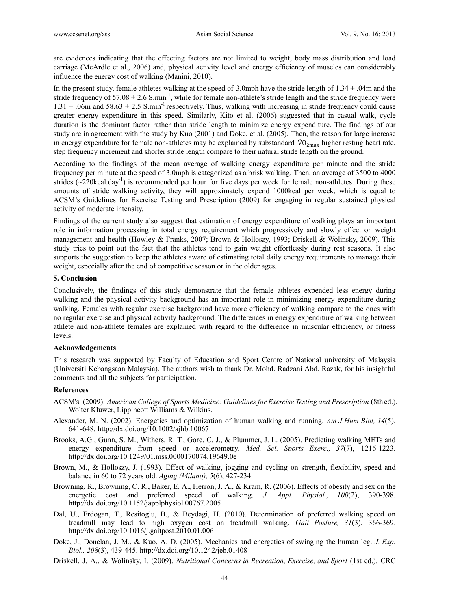are evidences indicating that the effecting factors are not limited to weight, body mass distribution and load carriage (McArdle et al., 2006) and, physical activity level and energy efficiency of muscles can considerably influence the energy cost of walking (Manini, 2010).

In the present study, female athletes walking at the speed of 3.0mph have the stride length of  $1.34 \pm .04$ m and the stride frequency of  $57.08 \pm 2.6$  S.min<sup>-1</sup>, while for female non-athlete's stride length and the stride frequency were  $1.31 \pm .06$ m and  $58.63 \pm 2.5$  S.min<sup>-1</sup> respectively. Thus, walking with increasing in stride frequency could cause greater energy expenditure in this speed. Similarly, Kito et al. (2006) suggested that in casual walk, cycle duration is the dominant factor rather than stride length to minimize energy expenditure. The findings of our study are in agreement with the study by Kuo (2001) and Doke, et al. (2005). Then, the reason for large increase in energy expenditure for female non-athletes may be explained by substandard  $\dot{V}O_{2max}$  higher resting heart rate, step frequency increment and shorter stride length compare to their natural stride length on the ground.

According to the findings of the mean average of walking energy expenditure per minute and the stride frequency per minute at the speed of 3.0mph is categorized as a brisk walking. Then, an average of 3500 to 4000 strides  $(\sim 220 \text{kcal.} \text{day}^1)$  is recommended per hour for five days per week for female non-athletes. During these amounts of stride walking activity, they will approximately expend 1000kcal per week, which is equal to ACSM's Guidelines for Exercise Testing and Prescription (2009) for engaging in regular sustained physical activity of moderate intensity.

Findings of the current study also suggest that estimation of energy expenditure of walking plays an important role in information processing in total energy requirement which progressively and slowly effect on weight management and health (Howley & Franks, 2007; Brown & Holloszy, 1993; Driskell & Wolinsky, 2009). This study tries to point out the fact that the athletes tend to gain weight effortlessly during rest seasons. It also supports the suggestion to keep the athletes aware of estimating total daily energy requirements to manage their weight, especially after the end of competitive season or in the older ages.

# **5. Conclusion**

Conclusively, the findings of this study demonstrate that the female athletes expended less energy during walking and the physical activity background has an important role in minimizing energy expenditure during walking. Females with regular exercise background have more efficiency of walking compare to the ones with no regular exercise and physical activity background. The differences in energy expenditure of walking between athlete and non-athlete females are explained with regard to the difference in muscular efficiency, or fitness levels.

## **Acknowledgements**

This research was supported by Faculty of Education and Sport Centre of National university of Malaysia (Universiti Kebangsaan Malaysia). The authors wish to thank Dr. Mohd. Radzani Abd. Razak, for his insightful comments and all the subjects for participation.

#### **References**

- ACSM's. (2009). *American College of Sports Medicine: Guidelines for Exercise Testing and Prescription* (8th ed.). Wolter Kluwer, Lippincott Williams & Wilkins.
- Alexander, M. N. (2002). Energetics and optimization of human walking and running. *Am J Hum Biol, 14*(5), 641-648. http://dx.doi.org/10.1002/ajhb.10067
- Brooks, A.G., Gunn, S. M., Withers, R. T., Gore, C. J., & Plummer, J. L. (2005). Predicting walking METs and energy expenditure from speed or accelerometry. *Med. Sci. Sports Exerc., 37*(7), 1216-1223. http://dx.doi.org/10.1249/01.mss.0000170074.19649.0e
- Brown, M., & Holloszy, J. (1993). Effect of walking, jogging and cycling on strength, flexibility, speed and balance in 60 to 72 years old. *Aging (Milano), 5*(6), 427-234.
- Browning, R., Browning, C. R., Baker, E. A., Herron, J. A., & Kram, R. (2006). Effects of obesity and sex on the energetic cost and preferred speed of walking. *J. Appl. Physiol., 100*(2), 390-398. http://dx.doi.org/10.1152/japplphysiol.00767.2005
- Dal, U., Erdogan, T., Resitoglu, B., & Beydagi, H. (2010). Determination of preferred walking speed on treadmill may lead to high oxygen cost on treadmill walking. *Gait Posture, 31*(3), 366-369. http://dx.doi.org/10.1016/j.gaitpost.2010.01.006
- Doke, J., Donelan, J. M., & Kuo, A. D. (2005). Mechanics and energetics of swinging the human leg. *J. Exp. Biol., 208*(3), 439-445. http://dx.doi.org/10.1242/jeb.01408
- Driskell, J. A., & Wolinsky, I. (2009). *Nutritional Concerns in Recreation, Exercise, and Sport* (1st ed.). CRC